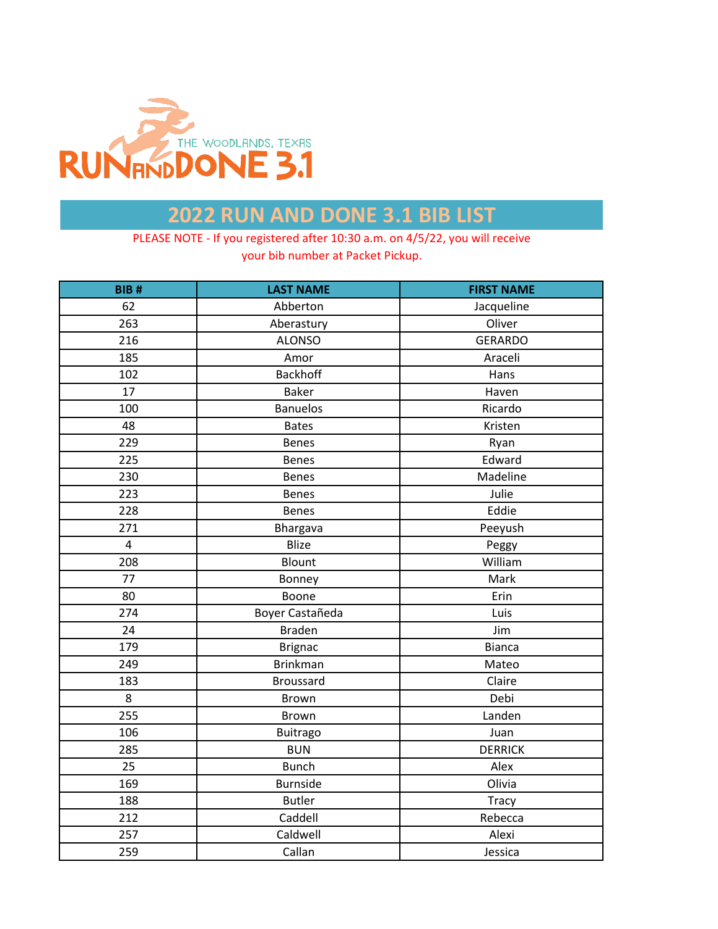

| <b>BIB#</b> | <b>LAST NAME</b> | <b>FIRST NAME</b> |
|-------------|------------------|-------------------|
| 62          | Abberton         | Jacqueline        |
| 263         | Aberastury       | Oliver            |
| 216         | <b>ALONSO</b>    | <b>GERARDO</b>    |
| 185         | Amor             | Araceli           |
| 102         | Backhoff         | Hans              |
| 17          | <b>Baker</b>     | Haven             |
| 100         | <b>Banuelos</b>  | Ricardo           |
| 48          | <b>Bates</b>     | Kristen           |
| 229         | <b>Benes</b>     | Ryan              |
| 225         | <b>Benes</b>     | Edward            |
| 230         | <b>Benes</b>     | Madeline          |
| 223         | <b>Benes</b>     | Julie             |
| 228         | <b>Benes</b>     | Eddie             |
| 271         | Bhargava         | Peeyush           |
| $\pmb{4}$   | Blize            | Peggy             |
| 208         | <b>Blount</b>    | William           |
| 77          | Bonney           | Mark              |
| 80          | Boone            | Erin              |
| 274         | Boyer Castañeda  | Luis              |
| 24          | <b>Braden</b>    | Jim               |
| 179         | <b>Brignac</b>   | <b>Bianca</b>     |
| 249         | <b>Brinkman</b>  | Mateo             |
| 183         | <b>Broussard</b> | Claire            |
| 8           | <b>Brown</b>     | Debi              |
| 255         | Brown            | Landen            |
| 106         | <b>Buitrago</b>  | Juan              |
| 285         | <b>BUN</b>       | <b>DERRICK</b>    |
| 25          | <b>Bunch</b>     | Alex              |
| 169         | <b>Burnside</b>  | Olivia            |
| 188         | <b>Butler</b>    | Tracy             |
| 212         | Caddell          | Rebecca           |
| 257         | Caldwell         | Alexi             |
| 259         | Callan           | Jessica           |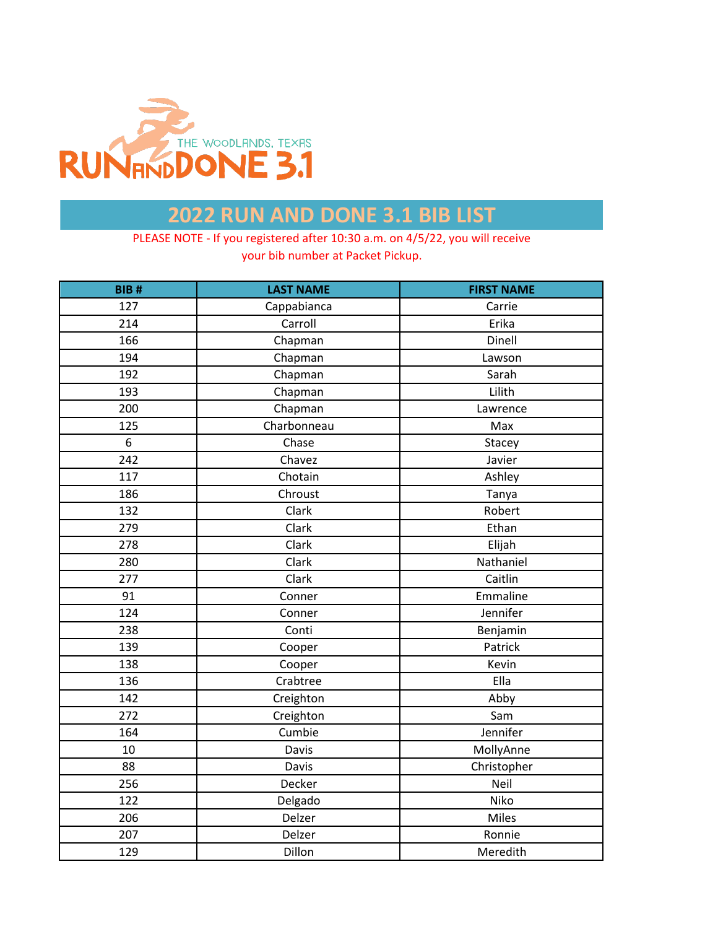

| BIB# | <b>LAST NAME</b> | <b>FIRST NAME</b> |
|------|------------------|-------------------|
| 127  | Cappabianca      | Carrie            |
| 214  | Carroll          | Erika             |
| 166  | Chapman          | Dinell            |
| 194  | Chapman          | Lawson            |
| 192  | Chapman          | Sarah             |
| 193  | Chapman          | Lilith            |
| 200  | Chapman          | Lawrence          |
| 125  | Charbonneau      | Max               |
| 6    | Chase            | Stacey            |
| 242  | Chavez           | Javier            |
| 117  | Chotain          | Ashley            |
| 186  | Chroust          | Tanya             |
| 132  | Clark            | Robert            |
| 279  | Clark            | Ethan             |
| 278  | Clark            | Elijah            |
| 280  | Clark            | Nathaniel         |
| 277  | Clark            | Caitlin           |
| 91   | Conner           | Emmaline          |
| 124  | Conner           | Jennifer          |
| 238  | Conti            | Benjamin          |
| 139  | Cooper           | Patrick           |
| 138  | Cooper           | Kevin             |
| 136  | Crabtree         | Ella              |
| 142  | Creighton        | Abby              |
| 272  | Creighton        | Sam               |
| 164  | Cumbie           | Jennifer          |
| 10   | Davis            | MollyAnne         |
| 88   | Davis            | Christopher       |
| 256  | Decker           | Neil              |
| 122  | Delgado          | Niko              |
| 206  | Delzer           | Miles             |
| 207  | Delzer           | Ronnie            |
| 129  | Dillon           | Meredith          |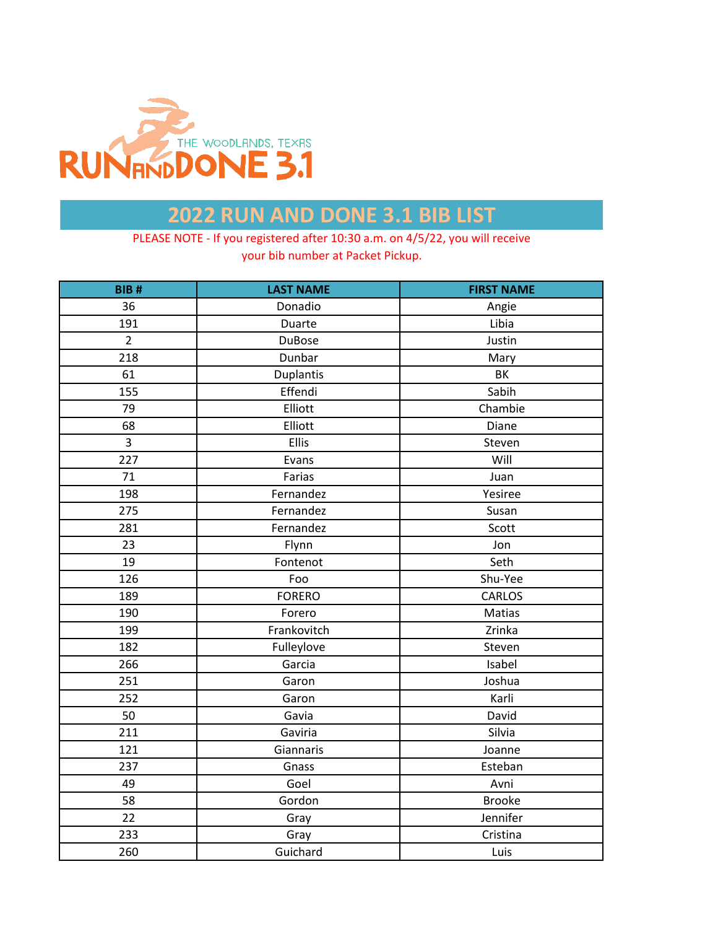

| <b>BIB#</b>    | <b>LAST NAME</b> | <b>FIRST NAME</b> |
|----------------|------------------|-------------------|
| 36             | Donadio          | Angie             |
| 191            | Duarte           | Libia             |
| $\overline{2}$ | <b>DuBose</b>    | Justin            |
| 218            | Dunbar           | Mary              |
| 61             | Duplantis        | BK                |
| 155            | Effendi          | Sabih             |
| 79             | Elliott          | Chambie           |
| 68             | Elliott          | Diane             |
| 3              | <b>Ellis</b>     | Steven            |
| 227            | Evans            | Will              |
| 71             | Farias           | Juan              |
| 198            | Fernandez        | Yesiree           |
| 275            | Fernandez        | Susan             |
| 281            | Fernandez        | Scott             |
| 23             | Flynn            | Jon               |
| 19             | Fontenot         | Seth              |
| 126            | Foo              | Shu-Yee           |
| 189            | <b>FORERO</b>    | CARLOS            |
| 190            | Forero           | Matias            |
| 199            | Frankovitch      | Zrinka            |
| 182            | Fulleylove       | Steven            |
| 266            | Garcia           | Isabel            |
| 251            | Garon            | Joshua            |
| 252            | Garon            | Karli             |
| 50             | Gavia            | David             |
| 211            | Gaviria          | Silvia            |
| 121            | Giannaris        | Joanne            |
| 237            | Gnass            | Esteban           |
| 49             | Goel             | Avni              |
| 58             | Gordon           | <b>Brooke</b>     |
| 22             | Gray             | Jennifer          |
| 233            | Gray             | Cristina          |
| 260            | Guichard         | Luis              |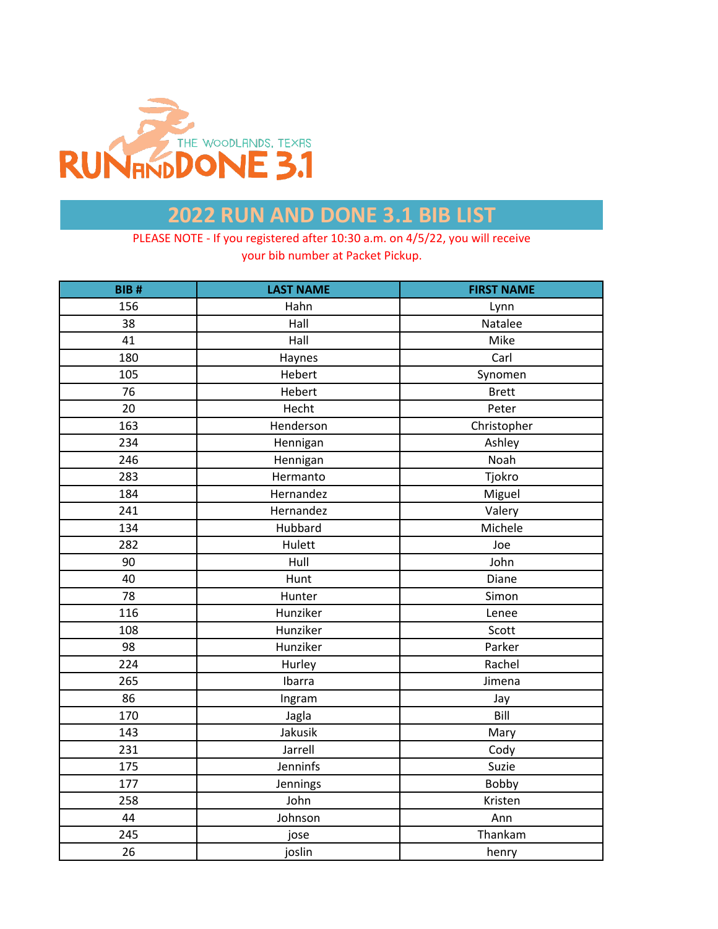

| <b>BIB#</b> | <b>LAST NAME</b> | <b>FIRST NAME</b> |
|-------------|------------------|-------------------|
| 156         | Hahn             | Lynn              |
| 38          | Hall             | Natalee           |
| 41          | Hall             | Mike              |
| 180         | Haynes           | Carl              |
| 105         | Hebert           | Synomen           |
| 76          | Hebert           | <b>Brett</b>      |
| 20          | Hecht            | Peter             |
| 163         | Henderson        | Christopher       |
| 234         | Hennigan         | Ashley            |
| 246         | Hennigan         | Noah              |
| 283         | Hermanto         | Tjokro            |
| 184         | Hernandez        | Miguel            |
| 241         | Hernandez        | Valery            |
| 134         | Hubbard          | Michele           |
| 282         | Hulett           | Joe               |
| 90          | Hull             | John              |
| 40          | Hunt             | Diane             |
| 78          | Hunter           | Simon             |
| 116         | Hunziker         | Lenee             |
| 108         | Hunziker         | Scott             |
| 98          | Hunziker         | Parker            |
| 224         | Hurley           | Rachel            |
| 265         | Ibarra           | Jimena            |
| 86          | Ingram           | Jay               |
| 170         | Jagla            | Bill              |
| 143         | Jakusik          | Mary              |
| 231         | Jarrell          | Cody              |
| 175         | Jenninfs         | Suzie             |
| 177         | Jennings         | Bobby             |
| 258         | John             | Kristen           |
| 44          | Johnson          | Ann               |
| 245         | jose             | Thankam           |
| 26          | joslin           | henry             |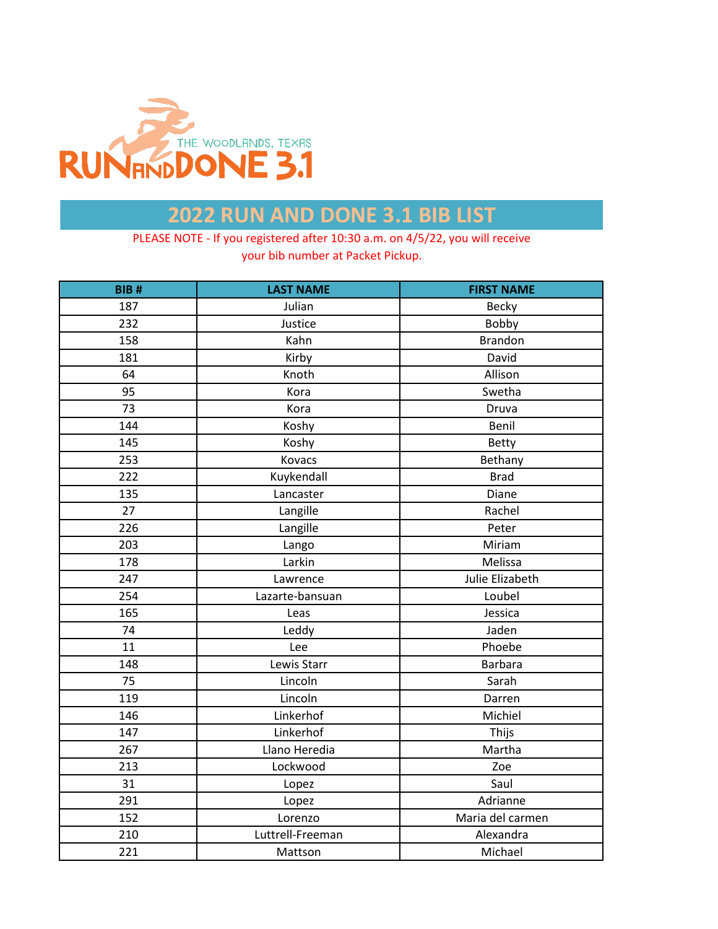

| <b>BIB#</b> | <b>LAST NAME</b> | <b>FIRST NAME</b> |
|-------------|------------------|-------------------|
| 187         | Julian           | Becky             |
| 232         | Justice          | Bobby             |
| 158         | Kahn             | <b>Brandon</b>    |
| 181         | Kirby            | David             |
| 64          | Knoth            | Allison           |
| 95          | Kora             | Swetha            |
| 73          | Kora             | Druva             |
| 144         | Koshy            | Benil             |
| 145         | Koshy            | Betty             |
| 253         | Kovacs           | Bethany           |
| 222         | Kuykendall       | <b>Brad</b>       |
| 135         | Lancaster        | Diane             |
| 27          | Langille         | Rachel            |
| 226         | Langille         | Peter             |
| 203         | Lango            | Miriam            |
| 178         | Larkin           | Melissa           |
| 247         | Lawrence         | Julie Elizabeth   |
| 254         | Lazarte-bansuan  | Loubel            |
| 165         | Leas             | Jessica           |
| 74          | Leddy            | Jaden             |
| 11          | Lee              | Phoebe            |
| 148         | Lewis Starr      | <b>Barbara</b>    |
| 75          | Lincoln          | Sarah             |
| 119         | Lincoln          | Darren            |
| 146         | Linkerhof        | Michiel           |
| 147         | Linkerhof        | Thijs             |
| 267         | Llano Heredia    | Martha            |
| 213         | Lockwood         | Zoe               |
| 31          | Lopez            | Saul              |
| 291         | Lopez            | Adrianne          |
| 152         | Lorenzo          | Maria del carmen  |
| 210         | Luttrell-Freeman | Alexandra         |
| 221         | Mattson          | Michael           |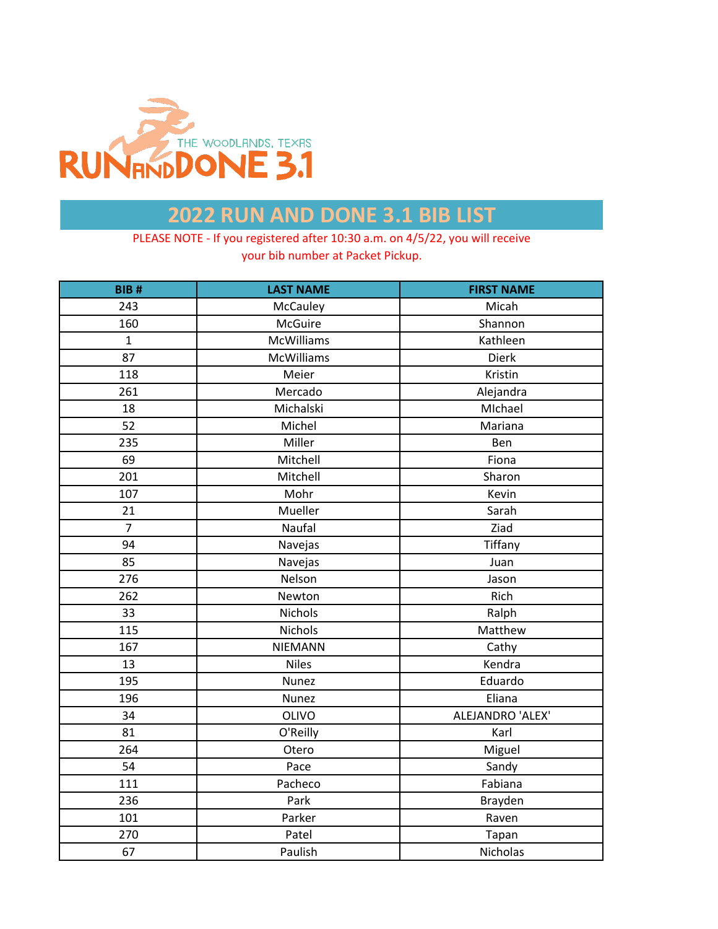

| <b>BIB#</b>    | <b>LAST NAME</b>  | <b>FIRST NAME</b> |
|----------------|-------------------|-------------------|
| 243            | McCauley          | Micah             |
| 160            | McGuire           | Shannon           |
| $\mathbf{1}$   | <b>McWilliams</b> | Kathleen          |
| 87             | McWilliams        | Dierk             |
| 118            | Meier             | Kristin           |
| 261            | Mercado           | Alejandra         |
| 18             | Michalski         | MIchael           |
| 52             | Michel            | Mariana           |
| 235            | Miller            | Ben               |
| 69             | Mitchell          | Fiona             |
| 201            | Mitchell          | Sharon            |
| 107            | Mohr              | Kevin             |
| 21             | Mueller           | Sarah             |
| $\overline{7}$ | Naufal            | Ziad              |
| 94             | Navejas           | Tiffany           |
| 85             | Navejas           | Juan              |
| 276            | Nelson            | Jason             |
| 262            | Newton            | Rich              |
| 33             | Nichols           | Ralph             |
| 115            | Nichols           | Matthew           |
| 167            | NIEMANN           | Cathy             |
| 13             | <b>Niles</b>      | Kendra            |
| 195            | Nunez             | Eduardo           |
| 196            | Nunez             | Eliana            |
| 34             | <b>OLIVO</b>      | ALEJANDRO 'ALEX'  |
| 81             | O'Reilly          | Karl              |
| 264            | Otero             | Miguel            |
| 54             | Pace              | Sandy             |
| 111            | Pacheco           | Fabiana           |
| 236            | Park              | Brayden           |
| 101            | Parker            | Raven             |
| 270            | Patel             | Tapan             |
| 67             | Paulish           | Nicholas          |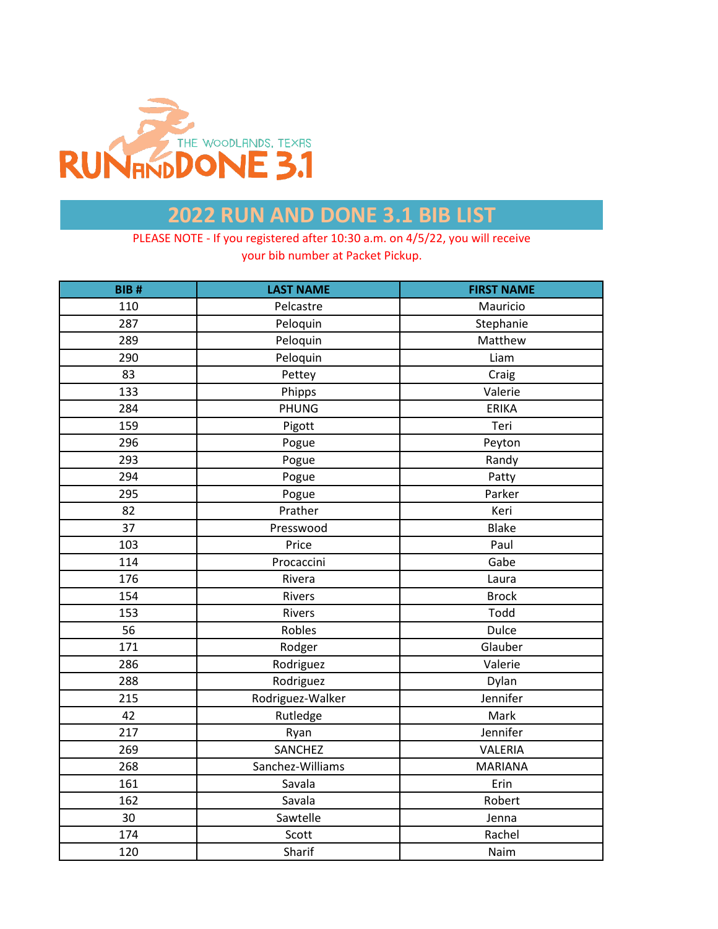

| BIB# | <b>LAST NAME</b> | <b>FIRST NAME</b> |
|------|------------------|-------------------|
| 110  | Pelcastre        | Mauricio          |
| 287  | Peloquin         | Stephanie         |
| 289  | Peloquin         | Matthew           |
| 290  | Peloquin         | Liam              |
| 83   | Pettey           | Craig             |
| 133  | Phipps           | Valerie           |
| 284  | <b>PHUNG</b>     | <b>ERIKA</b>      |
| 159  | Pigott           | Teri              |
| 296  | Pogue            | Peyton            |
| 293  | Pogue            | Randy             |
| 294  | Pogue            | Patty             |
| 295  | Pogue            | Parker            |
| 82   | Prather          | Keri              |
| 37   | Presswood        | <b>Blake</b>      |
| 103  | Price            | Paul              |
| 114  | Procaccini       | Gabe              |
| 176  | Rivera           | Laura             |
| 154  | Rivers           | <b>Brock</b>      |
| 153  | Rivers           | Todd              |
| 56   | Robles           | <b>Dulce</b>      |
| 171  | Rodger           | Glauber           |
| 286  | Rodriguez        | Valerie           |
| 288  | Rodriguez        | Dylan             |
| 215  | Rodriguez-Walker | Jennifer          |
| 42   | Rutledge         | Mark              |
| 217  | Ryan             | Jennifer          |
| 269  | <b>SANCHEZ</b>   | VALERIA           |
| 268  | Sanchez-Williams | <b>MARIANA</b>    |
| 161  | Savala           | Erin              |
| 162  | Savala           | Robert            |
| 30   | Sawtelle         | Jenna             |
| 174  | Scott            | Rachel            |
| 120  | Sharif           | Naim              |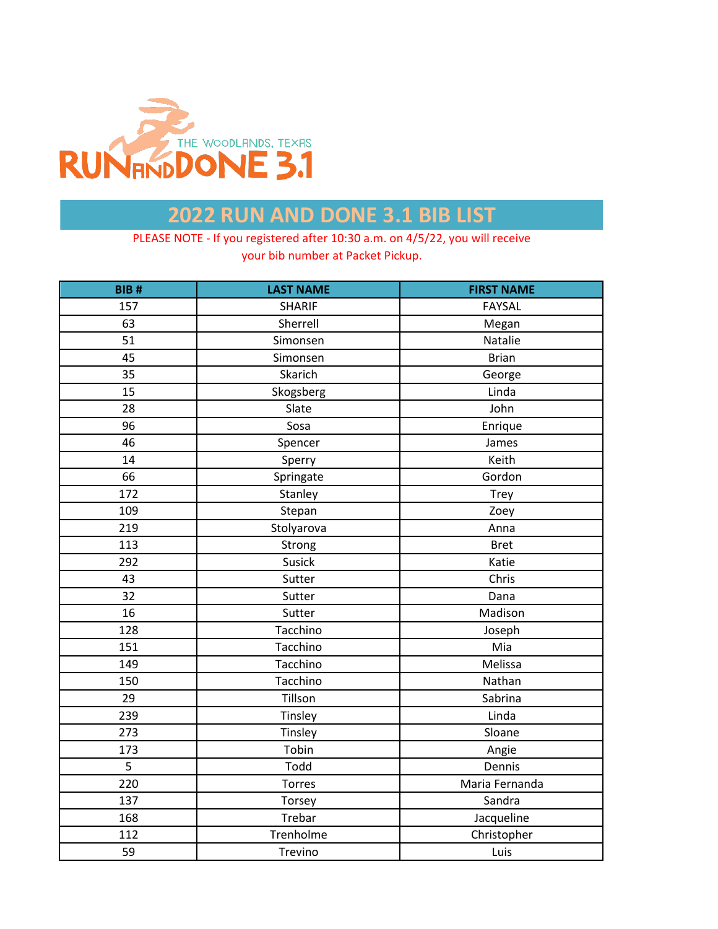

| <b>BIB#</b>    | <b>LAST NAME</b> | <b>FIRST NAME</b> |
|----------------|------------------|-------------------|
| 157            | <b>SHARIF</b>    | <b>FAYSAL</b>     |
| 63             | Sherrell         | Megan             |
| 51             | Simonsen         | Natalie           |
| 45             | Simonsen         | <b>Brian</b>      |
| 35             | Skarich          | George            |
| 15             | Skogsberg        | Linda             |
| 28             | Slate            | John              |
| 96             | Sosa             | Enrique           |
| 46             | Spencer          | James             |
| 14             | Sperry           | Keith             |
| 66             | Springate        | Gordon            |
| 172            | Stanley          | Trey              |
| 109            | Stepan           | Zoey              |
| 219            | Stolyarova       | Anna              |
| 113            | Strong           | <b>Bret</b>       |
| 292            | Susick           | Katie             |
| 43             | Sutter           | Chris             |
| 32             | Sutter           | Dana              |
| 16             | Sutter           | Madison           |
| 128            | Tacchino         | Joseph            |
| 151            | Tacchino         | Mia               |
| 149            | Tacchino         | Melissa           |
| 150            | Tacchino         | Nathan            |
| 29             | Tillson          | Sabrina           |
| 239            | Tinsley          | Linda             |
| 273            | Tinsley          | Sloane            |
| 173            | Tobin            | Angie             |
| $\overline{5}$ | Todd             | Dennis            |
| 220            | Torres           | Maria Fernanda    |
| 137            | Torsey           | Sandra            |
| 168            | Trebar           | Jacqueline        |
| 112            | Trenholme        | Christopher       |
| 59             | Trevino          | Luis              |